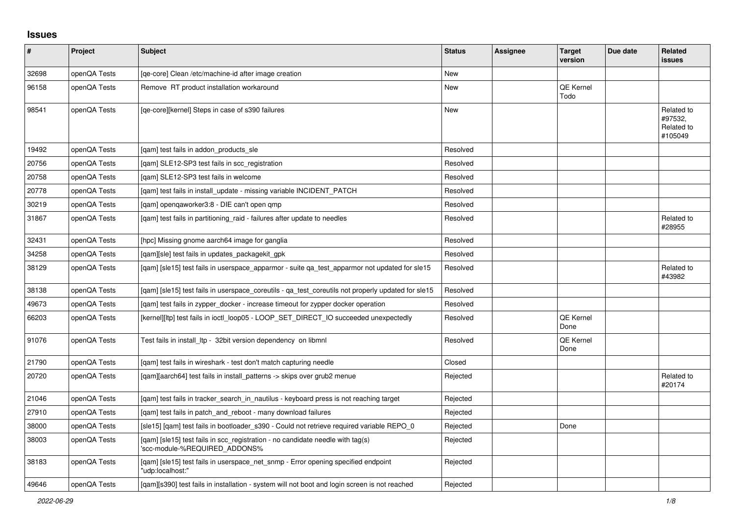## **Issues**

| $\vert$ # | Project      | <b>Subject</b>                                                                                                  | <b>Status</b> | <b>Assignee</b> | <b>Target</b><br>version | Due date | <b>Related</b><br><b>issues</b>                |
|-----------|--------------|-----------------------------------------------------------------------------------------------------------------|---------------|-----------------|--------------------------|----------|------------------------------------------------|
| 32698     | openQA Tests | [qe-core] Clean /etc/machine-id after image creation                                                            | <b>New</b>    |                 |                          |          |                                                |
| 96158     | openQA Tests | Remove RT product installation workaround                                                                       | <b>New</b>    |                 | <b>QE Kernel</b><br>Todo |          |                                                |
| 98541     | openQA Tests | [qe-core][kernel] Steps in case of s390 failures                                                                | <b>New</b>    |                 |                          |          | Related to<br>#97532,<br>Related to<br>#105049 |
| 19492     | openQA Tests | [gam] test fails in addon products sle                                                                          | Resolved      |                 |                          |          |                                                |
| 20756     | openQA Tests | [qam] SLE12-SP3 test fails in scc_registration                                                                  | Resolved      |                 |                          |          |                                                |
| 20758     | openQA Tests | [qam] SLE12-SP3 test fails in welcome                                                                           | Resolved      |                 |                          |          |                                                |
| 20778     | openQA Tests | [qam] test fails in install_update - missing variable INCIDENT_PATCH                                            | Resolved      |                 |                          |          |                                                |
| 30219     | openQA Tests | [qam] openqaworker3:8 - DIE can't open qmp                                                                      | Resolved      |                 |                          |          |                                                |
| 31867     | openQA Tests | [gam] test fails in partitioning raid - failures after update to needles                                        | Resolved      |                 |                          |          | Related to<br>#28955                           |
| 32431     | openQA Tests | [hpc] Missing gnome aarch64 image for ganglia                                                                   | Resolved      |                 |                          |          |                                                |
| 34258     | openQA Tests | [qam][sle] test fails in updates_packagekit_gpk                                                                 | Resolved      |                 |                          |          |                                                |
| 38129     | openQA Tests | [gam] [sle15] test fails in userspace apparmor - suite ga test apparmor not updated for sle15                   | Resolved      |                 |                          |          | Related to<br>#43982                           |
| 38138     | openQA Tests | [gam] [sle15] test fails in userspace coreutils - ga test coreutils not properly updated for sle15              | Resolved      |                 |                          |          |                                                |
| 49673     | openQA Tests | [gam] test fails in zypper docker - increase timeout for zypper docker operation                                | Resolved      |                 |                          |          |                                                |
| 66203     | openQA Tests | [kernel][ltp] test fails in ioctl_loop05 - LOOP_SET_DIRECT_IO succeeded unexpectedly                            | Resolved      |                 | <b>QE Kernel</b><br>Done |          |                                                |
| 91076     | openQA Tests | Test fails in install Itp - 32bit version dependency on libmnl                                                  | Resolved      |                 | <b>QE Kernel</b><br>Done |          |                                                |
| 21790     | openQA Tests | [qam] test fails in wireshark - test don't match capturing needle                                               | Closed        |                 |                          |          |                                                |
| 20720     | openQA Tests | [gam][aarch64] test fails in install patterns -> skips over grub2 menue                                         | Rejected      |                 |                          |          | Related to<br>#20174                           |
| 21046     | openQA Tests | [qam] test fails in tracker_search_in_nautilus - keyboard press is not reaching target                          | Rejected      |                 |                          |          |                                                |
| 27910     | openQA Tests | [gam] test fails in patch and reboot - many download failures                                                   | Rejected      |                 |                          |          |                                                |
| 38000     | openQA Tests | [sle15] [qam] test fails in bootloader_s390 - Could not retrieve required variable REPO_0                       | Rejected      |                 | Done                     |          |                                                |
| 38003     | openQA Tests | [qam] [sle15] test fails in scc_registration - no candidate needle with tag(s)<br>'scc-module-%REQUIRED ADDONS% | Rejected      |                 |                          |          |                                                |
| 38183     | openQA Tests | [gam] [sle15] test fails in userspace net snmp - Error opening specified endpoint<br>"udp:localhost:"           | Rejected      |                 |                          |          |                                                |
| 49646     | openQA Tests | [gam][s390] test fails in installation - system will not boot and login screen is not reached                   | Rejected      |                 |                          |          |                                                |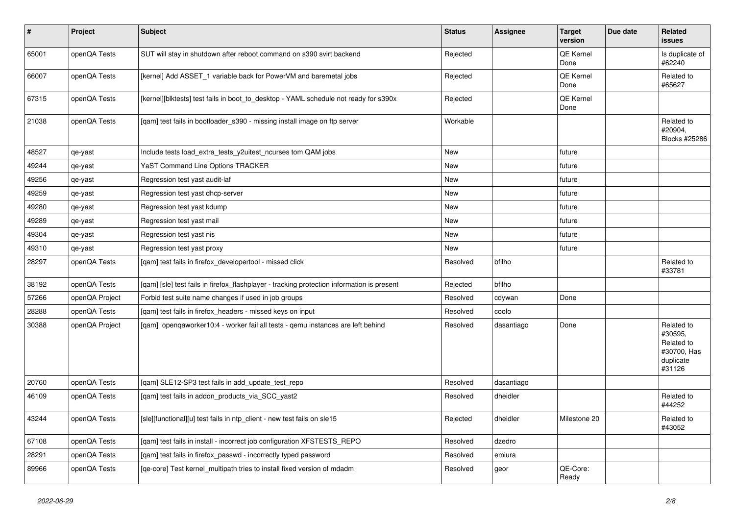| $\sharp$ | Project        | Subject                                                                                    | <b>Status</b> | Assignee   | <b>Target</b><br>version | Due date | <b>Related</b><br><b>issues</b>                                           |
|----------|----------------|--------------------------------------------------------------------------------------------|---------------|------------|--------------------------|----------|---------------------------------------------------------------------------|
| 65001    | openQA Tests   | SUT will stay in shutdown after reboot command on s390 svirt backend                       | Rejected      |            | QE Kernel<br>Done        |          | Is duplicate of<br>#62240                                                 |
| 66007    | openQA Tests   | [kernel] Add ASSET 1 variable back for PowerVM and baremetal jobs                          | Rejected      |            | QE Kernel<br>Done        |          | Related to<br>#65627                                                      |
| 67315    | openQA Tests   | [kernel][blktests] test fails in boot_to_desktop - YAML schedule not ready for s390x       | Rejected      |            | QE Kernel<br>Done        |          |                                                                           |
| 21038    | openQA Tests   | [qam] test fails in bootloader_s390 - missing install image on ftp server                  | Workable      |            |                          |          | Related to<br>#20904,<br>Blocks #25286                                    |
| 48527    | qe-yast        | Include tests load_extra_tests_y2uitest_ncurses tom QAM jobs                               | <b>New</b>    |            | future                   |          |                                                                           |
| 49244    | qe-yast        | YaST Command Line Options TRACKER                                                          | New           |            | future                   |          |                                                                           |
| 49256    | qe-yast        | Regression test yast audit-laf                                                             | New           |            | future                   |          |                                                                           |
| 49259    | qe-yast        | Regression test yast dhcp-server                                                           | New           |            | future                   |          |                                                                           |
| 49280    | qe-yast        | Regression test yast kdump                                                                 | <b>New</b>    |            | future                   |          |                                                                           |
| 49289    | qe-yast        | Regression test yast mail                                                                  | <b>New</b>    |            | future                   |          |                                                                           |
| 49304    | qe-yast        | Regression test yast nis                                                                   | New           |            | future                   |          |                                                                           |
| 49310    | qe-yast        | Regression test yast proxy                                                                 | <b>New</b>    |            | future                   |          |                                                                           |
| 28297    | openQA Tests   | [qam] test fails in firefox_developertool - missed click                                   | Resolved      | bfilho     |                          |          | Related to<br>#33781                                                      |
| 38192    | openQA Tests   | [gam] [sle] test fails in firefox flashplayer - tracking protection information is present | Rejected      | bfilho     |                          |          |                                                                           |
| 57266    | openQA Project | Forbid test suite name changes if used in job groups                                       | Resolved      | cdywan     | Done                     |          |                                                                           |
| 28288    | openQA Tests   | [qam] test fails in firefox_headers - missed keys on input                                 | Resolved      | coolo      |                          |          |                                                                           |
| 30388    | openQA Project | [qam] openqaworker10:4 - worker fail all tests - qemu instances are left behind            | Resolved      | dasantiago | Done                     |          | Related to<br>#30595,<br>Related to<br>#30700, Has<br>duplicate<br>#31126 |
| 20760    | openQA Tests   | [gam] SLE12-SP3 test fails in add update test repo                                         | Resolved      | dasantiago |                          |          |                                                                           |
| 46109    | openQA Tests   | [qam] test fails in addon_products_via_SCC_yast2                                           | Resolved      | dheidler   |                          |          | Related to<br>#44252                                                      |
| 43244    | openQA Tests   | [sle][functional][u] test fails in ntp_client - new test fails on sle15                    | Rejected      | dheidler   | Milestone 20             |          | Related to<br>#43052                                                      |
| 67108    | openQA Tests   | [qam] test fails in install - incorrect job configuration XFSTESTS_REPO                    | Resolved      | dzedro     |                          |          |                                                                           |
| 28291    | openQA Tests   | [gam] test fails in firefox passwd - incorrectly typed password                            | Resolved      | emiura     |                          |          |                                                                           |
| 89966    | openQA Tests   | [qe-core] Test kernel multipath tries to install fixed version of mdadm                    | Resolved      | geor       | QE-Core:<br>Ready        |          |                                                                           |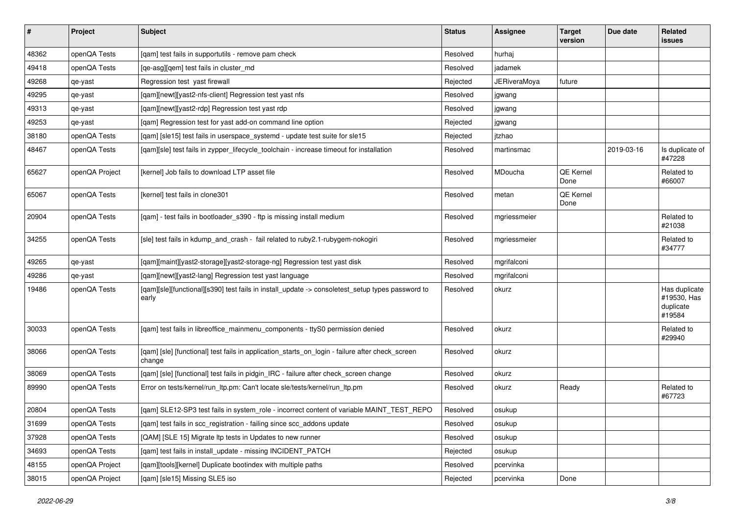| $\vert$ # | Project        | <b>Subject</b>                                                                                            | <b>Status</b> | <b>Assignee</b>     | <b>Target</b><br>version | Due date   | Related<br>issues                                   |
|-----------|----------------|-----------------------------------------------------------------------------------------------------------|---------------|---------------------|--------------------------|------------|-----------------------------------------------------|
| 48362     | openQA Tests   | [qam] test fails in supportutils - remove pam check                                                       | Resolved      | hurhaj              |                          |            |                                                     |
| 49418     | openQA Tests   | [ge-asg][gem] test fails in cluster md                                                                    | Resolved      | iadamek             |                          |            |                                                     |
| 49268     | qe-yast        | Regression test yast firewall                                                                             | Rejected      | <b>JERiveraMoya</b> | future                   |            |                                                     |
| 49295     | qe-yast        | [qam][newt][yast2-nfs-client] Regression test yast nfs                                                    | Resolved      | jgwang              |                          |            |                                                     |
| 49313     | qe-yast        | [qam][newt][yast2-rdp] Regression test yast rdp                                                           | Resolved      | jgwang              |                          |            |                                                     |
| 49253     | qe-yast        | [qam] Regression test for yast add-on command line option                                                 | Rejected      | jgwang              |                          |            |                                                     |
| 38180     | openQA Tests   | [qam] [sle15] test fails in userspace_systemd - update test suite for sle15                               | Rejected      | jtzhao              |                          |            |                                                     |
| 48467     | openQA Tests   | [qam][sle] test fails in zypper_lifecycle_toolchain - increase timeout for installation                   | Resolved      | martinsmac          |                          | 2019-03-16 | Is duplicate of<br>#47228                           |
| 65627     | openQA Project | [kernel] Job fails to download LTP asset file                                                             | Resolved      | MDoucha             | <b>QE Kernel</b><br>Done |            | Related to<br>#66007                                |
| 65067     | openQA Tests   | [kernel] test fails in clone301                                                                           | Resolved      | metan               | <b>QE Kernel</b><br>Done |            |                                                     |
| 20904     | openQA Tests   | [qam] - test fails in bootloader_s390 - ftp is missing install medium                                     | Resolved      | mgriessmeier        |                          |            | Related to<br>#21038                                |
| 34255     | openQA Tests   | [sle] test fails in kdump_and_crash - fail related to ruby2.1-rubygem-nokogiri                            | Resolved      | mgriessmeier        |                          |            | Related to<br>#34777                                |
| 49265     | qe-yast        | [qam][maint][yast2-storage][yast2-storage-ng] Regression test yast disk                                   | Resolved      | mgrifalconi         |                          |            |                                                     |
| 49286     | qe-yast        | [qam][newt][yast2-lang] Regression test yast language                                                     | Resolved      | mgrifalconi         |                          |            |                                                     |
| 19486     | openQA Tests   | [qam][sle][functional][s390] test fails in install_update -> consoletest_setup types password to<br>early | Resolved      | okurz               |                          |            | Has duplicate<br>#19530, Has<br>duplicate<br>#19584 |
| 30033     | openQA Tests   | [qam] test fails in libreoffice_mainmenu_components - ttyS0 permission denied                             | Resolved      | okurz               |                          |            | Related to<br>#29940                                |
| 38066     | openQA Tests   | [qam] [sle] [functional] test fails in application_starts_on_login - failure after check_screen<br>change | Resolved      | okurz               |                          |            |                                                     |
| 38069     | openQA Tests   | [qam] [sle] [functional] test fails in pidgin_IRC - failure after check_screen change                     | Resolved      | okurz               |                          |            |                                                     |
| 89990     | openQA Tests   | Error on tests/kernel/run_ltp.pm: Can't locate sle/tests/kernel/run_ltp.pm                                | Resolved      | okurz               | Ready                    |            | Related to<br>#67723                                |
| 20804     | openQA Tests   | [gam] SLE12-SP3 test fails in system_role - incorrect content of variable MAINT_TEST_REPO                 | Resolved      | osukup              |                          |            |                                                     |
| 31699     | openQA Tests   | [qam] test fails in scc_registration - failing since scc_addons update                                    | Resolved      | osukup              |                          |            |                                                     |
| 37928     | openQA Tests   | [QAM] [SLE 15] Migrate Itp tests in Updates to new runner                                                 | Resolved      | osukup              |                          |            |                                                     |
| 34693     | openQA Tests   | [qam] test fails in install_update - missing INCIDENT_PATCH                                               | Rejected      | osukup              |                          |            |                                                     |
| 48155     | openQA Project | [qam][tools][kernel] Duplicate bootindex with multiple paths                                              | Resolved      | pcervinka           |                          |            |                                                     |
| 38015     | openQA Project | [qam] [sle15] Missing SLE5 iso                                                                            | Rejected      | pcervinka           | Done                     |            |                                                     |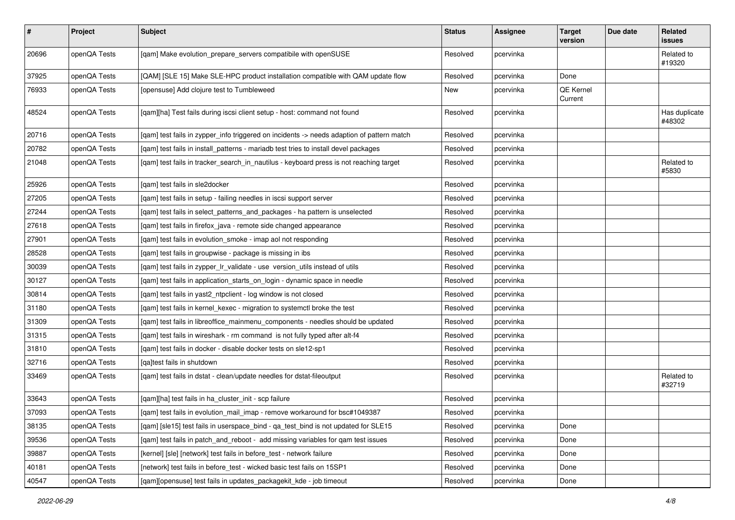| $\sharp$ | Project      | <b>Subject</b>                                                                            | <b>Status</b> | Assignee  | <b>Target</b><br>version | Due date | Related<br>issues       |
|----------|--------------|-------------------------------------------------------------------------------------------|---------------|-----------|--------------------------|----------|-------------------------|
| 20696    | openQA Tests | [qam] Make evolution_prepare_servers compatibile with openSUSE                            | Resolved      | pcervinka |                          |          | Related to<br>#19320    |
| 37925    | openQA Tests | [QAM] [SLE 15] Make SLE-HPC product installation compatible with QAM update flow          | Resolved      | pcervinka | Done                     |          |                         |
| 76933    | openQA Tests | [opensuse] Add clojure test to Tumbleweed                                                 | New           | pcervinka | QE Kernel<br>Current     |          |                         |
| 48524    | openQA Tests | [qam][ha] Test fails during iscsi client setup - host: command not found                  | Resolved      | pcervinka |                          |          | Has duplicate<br>#48302 |
| 20716    | openQA Tests | [qam] test fails in zypper_info triggered on incidents -> needs adaption of pattern match | Resolved      | pcervinka |                          |          |                         |
| 20782    | openQA Tests | [qam] test fails in install_patterns - mariadb test tries to install devel packages       | Resolved      | pcervinka |                          |          |                         |
| 21048    | openQA Tests | [qam] test fails in tracker_search_in_nautilus - keyboard press is not reaching target    | Resolved      | pcervinka |                          |          | Related to<br>#5830     |
| 25926    | openQA Tests | [qam] test fails in sle2docker                                                            | Resolved      | pcervinka |                          |          |                         |
| 27205    | openQA Tests | [gam] test fails in setup - failing needles in iscsi support server                       | Resolved      | pcervinka |                          |          |                         |
| 27244    | openQA Tests | [qam] test fails in select_patterns_and_packages - ha pattern is unselected               | Resolved      | pcervinka |                          |          |                         |
| 27618    | openQA Tests | [qam] test fails in firefox_java - remote side changed appearance                         | Resolved      | pcervinka |                          |          |                         |
| 27901    | openQA Tests | [qam] test fails in evolution_smoke - imap aol not responding                             | Resolved      | pcervinka |                          |          |                         |
| 28528    | openQA Tests | [qam] test fails in groupwise - package is missing in ibs                                 | Resolved      | pcervinka |                          |          |                         |
| 30039    | openQA Tests | [gam] test fails in zypper Ir validate - use version utils instead of utils               | Resolved      | pcervinka |                          |          |                         |
| 30127    | openQA Tests | [qam] test fails in application_starts_on_login - dynamic space in needle                 | Resolved      | pcervinka |                          |          |                         |
| 30814    | openQA Tests | [qam] test fails in yast2_ntpclient - log window is not closed                            | Resolved      | pcervinka |                          |          |                         |
| 31180    | openQA Tests | [qam] test fails in kernel_kexec - migration to systemctl broke the test                  | Resolved      | pcervinka |                          |          |                         |
| 31309    | openQA Tests | [qam] test fails in libreoffice_mainmenu_components - needles should be updated           | Resolved      | pcervinka |                          |          |                         |
| 31315    | openQA Tests | [qam] test fails in wireshark - rm command is not fully typed after alt-f4                | Resolved      | pcervinka |                          |          |                         |
| 31810    | openQA Tests | [gam] test fails in docker - disable docker tests on sle12-sp1                            | Resolved      | pcervinka |                          |          |                         |
| 32716    | openQA Tests | [qa]test fails in shutdown                                                                | Resolved      | pcervinka |                          |          |                         |
| 33469    | openQA Tests | [qam] test fails in dstat - clean/update needles for dstat-fileoutput                     | Resolved      | pcervinka |                          |          | Related to<br>#32719    |
| 33643    | openQA Tests | [gam][ha] test fails in ha cluster init - scp failure                                     | Resolved      | pcervinka |                          |          |                         |
| 37093    | openQA Tests | [qam] test fails in evolution_mail_imap - remove workaround for bsc#1049387               | Resolved      | pcervinka |                          |          |                         |
| 38135    | openQA Tests | [qam] [sle15] test fails in userspace_bind - qa_test_bind is not updated for SLE15        | Resolved      | pcervinka | Done                     |          |                         |
| 39536    | openQA Tests | [qam] test fails in patch_and_reboot - add missing variables for qam test issues          | Resolved      | pcervinka | Done                     |          |                         |
| 39887    | openQA Tests | [kernel] [sle] [network] test fails in before_test - network failure                      | Resolved      | pcervinka | Done                     |          |                         |
| 40181    | openQA Tests | [network] test fails in before test - wicked basic test fails on 15SP1                    | Resolved      | pcervinka | Done                     |          |                         |
| 40547    | openQA Tests | [qam][opensuse] test fails in updates_packagekit_kde - job timeout                        | Resolved      | pcervinka | Done                     |          |                         |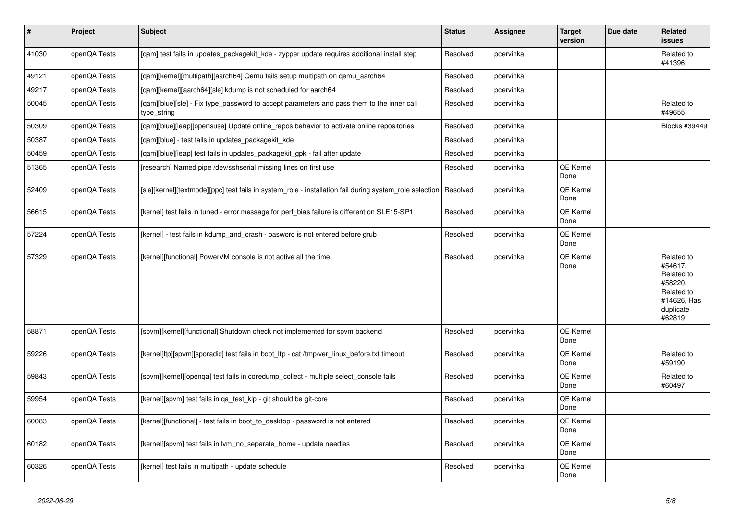| $\vert$ # | Project      | <b>Subject</b>                                                                                           | <b>Status</b> | Assignee  | <b>Target</b><br>version | Due date | Related<br><b>issues</b>                                                                           |
|-----------|--------------|----------------------------------------------------------------------------------------------------------|---------------|-----------|--------------------------|----------|----------------------------------------------------------------------------------------------------|
| 41030     | openQA Tests | [qam] test fails in updates_packagekit_kde - zypper update requires additional install step              | Resolved      | pcervinka |                          |          | Related to<br>#41396                                                                               |
| 49121     | openQA Tests | [qam][kernel][multipath][aarch64] Qemu fails setup multipath on qemu_aarch64                             | Resolved      | pcervinka |                          |          |                                                                                                    |
| 49217     | openQA Tests | [qam][kernel][aarch64][sle] kdump is not scheduled for aarch64                                           | Resolved      | pcervinka |                          |          |                                                                                                    |
| 50045     | openQA Tests | [gam][blue][sle] - Fix type password to accept parameters and pass them to the inner call<br>type_string | Resolved      | pcervinka |                          |          | Related to<br>#49655                                                                               |
| 50309     | openQA Tests | [qam][blue][leap][opensuse] Update online_repos behavior to activate online repositories                 | Resolved      | pcervinka |                          |          | Blocks #39449                                                                                      |
| 50387     | openQA Tests | [gam][blue] - test fails in updates packagekit kde                                                       | Resolved      | pcervinka |                          |          |                                                                                                    |
| 50459     | openQA Tests | [qam][blue][leap] test fails in updates_packagekit_gpk - fail after update                               | Resolved      | pcervinka |                          |          |                                                                                                    |
| 51365     | openQA Tests | [research] Named pipe /dev/sshserial missing lines on first use                                          | Resolved      | pcervinka | QE Kernel<br>Done        |          |                                                                                                    |
| 52409     | openQA Tests | [sle][kernel][textmode][ppc] test fails in system role - installation fail during system role selection  | Resolved      | pcervinka | QE Kernel<br>Done        |          |                                                                                                    |
| 56615     | openQA Tests | [kernel] test fails in tuned - error message for perf bias failure is different on SLE15-SP1             | Resolved      | pcervinka | QE Kernel<br>Done        |          |                                                                                                    |
| 57224     | openQA Tests | [kernel] - test fails in kdump_and_crash - pasword is not entered before grub                            | Resolved      | pcervinka | QE Kernel<br>Done        |          |                                                                                                    |
| 57329     | openQA Tests | [kernel][functional] PowerVM console is not active all the time                                          | Resolved      | pcervinka | QE Kernel<br>Done        |          | Related to<br>#54617.<br>Related to<br>#58220.<br>Related to<br>#14626, Has<br>duplicate<br>#62819 |
| 58871     | openQA Tests | [spvm][kernel][functional] Shutdown check not implemented for spvm backend                               | Resolved      | pcervinka | QE Kernel<br>Done        |          |                                                                                                    |
| 59226     | openQA Tests | [kernel]ltp][spvm][sporadic] test fails in boot ltp - cat /tmp/ver linux before.txt timeout              | Resolved      | pcervinka | QE Kernel<br>Done        |          | Related to<br>#59190                                                                               |
| 59843     | openQA Tests | [spvm][kernel][openqa] test fails in coredump_collect - multiple select_console fails                    | Resolved      | pcervinka | <b>QE Kernel</b><br>Done |          | Related to<br>#60497                                                                               |
| 59954     | openQA Tests | [kernel][spvm] test fails in qa_test_klp - git should be git-core                                        | Resolved      | pcervinka | QE Kernel<br>Done        |          |                                                                                                    |
| 60083     | openQA Tests | [kernel][functional] - test fails in boot_to_desktop - password is not entered                           | Resolved      | pcervinka | QE Kernel<br>Done        |          |                                                                                                    |
| 60182     | openQA Tests | [kernel][spvm] test fails in lvm no separate home - update needles                                       | Resolved      | pcervinka | QE Kernel<br>Done        |          |                                                                                                    |
| 60326     | openQA Tests | [kernel] test fails in multipath - update schedule                                                       | Resolved      | pcervinka | QE Kernel<br>Done        |          |                                                                                                    |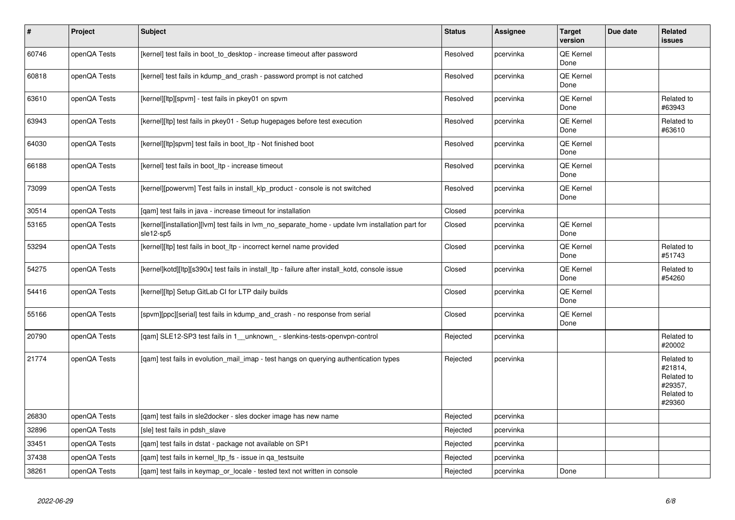| $\vert$ # | Project      | <b>Subject</b>                                                                                                 | <b>Status</b> | Assignee  | <b>Target</b><br>version | Due date | Related<br><b>issues</b>                                               |
|-----------|--------------|----------------------------------------------------------------------------------------------------------------|---------------|-----------|--------------------------|----------|------------------------------------------------------------------------|
| 60746     | openQA Tests | [kernel] test fails in boot to desktop - increase timeout after password                                       | Resolved      | pcervinka | <b>QE Kernel</b><br>Done |          |                                                                        |
| 60818     | openQA Tests | [kernel] test fails in kdump and crash - password prompt is not catched                                        | Resolved      | pcervinka | <b>QE Kernel</b><br>Done |          |                                                                        |
| 63610     | openQA Tests | [kernel][ltp][spvm] - test fails in pkey01 on spvm                                                             | Resolved      | pcervinka | QE Kernel<br>Done        |          | Related to<br>#63943                                                   |
| 63943     | openQA Tests | [kernel][ltp] test fails in pkey01 - Setup hugepages before test execution                                     | Resolved      | pcervinka | <b>QE Kernel</b><br>Done |          | Related to<br>#63610                                                   |
| 64030     | openQA Tests | [kernel][ltp]spvm] test fails in boot_ltp - Not finished boot                                                  | Resolved      | pcervinka | QE Kernel<br>Done        |          |                                                                        |
| 66188     | openQA Tests | [kernel] test fails in boot Itp - increase timeout                                                             | Resolved      | pcervinka | QE Kernel<br>Done        |          |                                                                        |
| 73099     | openQA Tests | [kernel][powervm] Test fails in install_klp_product - console is not switched                                  | Resolved      | pcervinka | QE Kernel<br>Done        |          |                                                                        |
| 30514     | openQA Tests | [gam] test fails in java - increase timeout for installation                                                   | Closed        | pcervinka |                          |          |                                                                        |
| 53165     | openQA Tests | [kernel][installation][lvm] test fails in lvm_no_separate_home - update lvm installation part for<br>sle12-sp5 | Closed        | pcervinka | QE Kernel<br>Done        |          |                                                                        |
| 53294     | openQA Tests | [kernel][ltp] test fails in boot ltp - incorrect kernel name provided                                          | Closed        | pcervinka | <b>QE Kernel</b><br>Done |          | Related to<br>#51743                                                   |
| 54275     | openQA Tests | [kernel]kotd][ltp][s390x] test fails in install_ltp - failure after install_kotd, console issue                | Closed        | pcervinka | QE Kernel<br>Done        |          | Related to<br>#54260                                                   |
| 54416     | openQA Tests | [kernel][ltp] Setup GitLab CI for LTP daily builds                                                             | Closed        | pcervinka | QE Kernel<br>Done        |          |                                                                        |
| 55166     | openQA Tests | [spvm][ppc][serial] test fails in kdump and crash - no response from serial                                    | Closed        | pcervinka | QE Kernel<br>Done        |          |                                                                        |
| 20790     | openQA Tests | [qam] SLE12-SP3 test fails in 1_unknown_ - slenkins-tests-openvpn-control                                      | Rejected      | pcervinka |                          |          | Related to<br>#20002                                                   |
| 21774     | openQA Tests | [gam] test fails in evolution mail imap - test hangs on querying authentication types                          | Rejected      | pcervinka |                          |          | Related to<br>#21814,<br>Related to<br>#29357,<br>Related to<br>#29360 |
| 26830     | openQA Tests | [qam] test fails in sle2docker - sles docker image has new name                                                | Rejected      | pcervinka |                          |          |                                                                        |
| 32896     | openQA Tests | [sle] test fails in pdsh slave                                                                                 | Rejected      | pcervinka |                          |          |                                                                        |
| 33451     | openQA Tests | [gam] test fails in dstat - package not available on SP1                                                       | Rejected      | pcervinka |                          |          |                                                                        |
| 37438     | openQA Tests | [qam] test fails in kernel_ltp_fs - issue in qa_testsuite                                                      | Rejected      | pcervinka |                          |          |                                                                        |
| 38261     | openQA Tests | [gam] test fails in keymap or locale - tested text not written in console                                      | Rejected      | pcervinka | Done                     |          |                                                                        |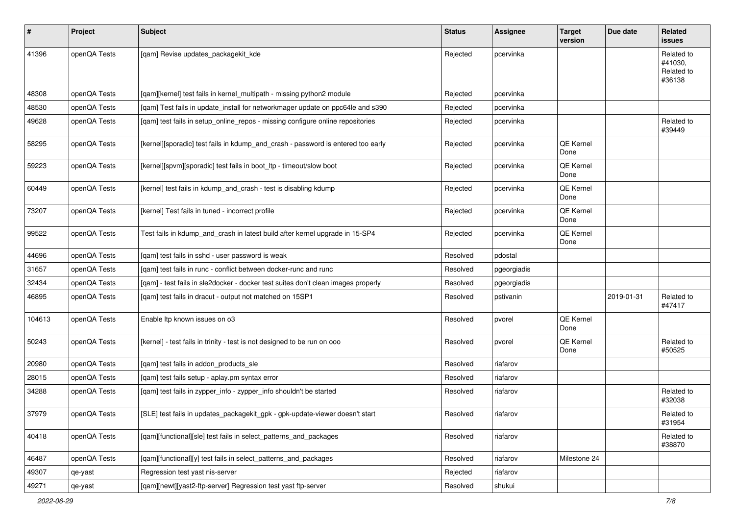| $\sharp$ | <b>Project</b> | Subject                                                                           | <b>Status</b> | <b>Assignee</b> | <b>Target</b><br>version | Due date   | Related<br>issues                             |
|----------|----------------|-----------------------------------------------------------------------------------|---------------|-----------------|--------------------------|------------|-----------------------------------------------|
| 41396    | openQA Tests   | [qam] Revise updates_packagekit_kde                                               | Rejected      | pcervinka       |                          |            | Related to<br>#41030.<br>Related to<br>#36138 |
| 48308    | openQA Tests   | [qam][kernel] test fails in kernel_multipath - missing python2 module             | Rejected      | pcervinka       |                          |            |                                               |
| 48530    | openQA Tests   | [qam] Test fails in update_install for networkmager update on ppc64le and s390    | Rejected      | pcervinka       |                          |            |                                               |
| 49628    | openQA Tests   | [qam] test fails in setup_online_repos - missing configure online repositories    | Rejected      | pcervinka       |                          |            | Related to<br>#39449                          |
| 58295    | openQA Tests   | [kernel][sporadic] test fails in kdump_and_crash - password is entered too early  | Rejected      | pcervinka       | <b>QE Kernel</b><br>Done |            |                                               |
| 59223    | openQA Tests   | [kernel][spvm][sporadic] test fails in boot_ltp - timeout/slow boot               | Rejected      | pcervinka       | <b>QE Kernel</b><br>Done |            |                                               |
| 60449    | openQA Tests   | [kernel] test fails in kdump_and_crash - test is disabling kdump                  | Rejected      | pcervinka       | QE Kernel<br>Done        |            |                                               |
| 73207    | openQA Tests   | [kernel] Test fails in tuned - incorrect profile                                  | Rejected      | pcervinka       | QE Kernel<br>Done        |            |                                               |
| 99522    | openQA Tests   | Test fails in kdump and crash in latest build after kernel upgrade in 15-SP4      | Rejected      | pcervinka       | QE Kernel<br>Done        |            |                                               |
| 44696    | openQA Tests   | [gam] test fails in sshd - user password is weak                                  | Resolved      | pdostal         |                          |            |                                               |
| 31657    | openQA Tests   | [gam] test fails in runc - conflict between docker-runc and runc                  | Resolved      | pgeorgiadis     |                          |            |                                               |
| 32434    | openQA Tests   | [qam] - test fails in sle2docker - docker test suites don't clean images properly | Resolved      | pgeorgiadis     |                          |            |                                               |
| 46895    | openQA Tests   | [qam] test fails in dracut - output not matched on 15SP1                          | Resolved      | pstivanin       |                          | 2019-01-31 | Related to<br>#47417                          |
| 104613   | openQA Tests   | Enable Itp known issues on o3                                                     | Resolved      | pvorel          | QE Kernel<br>Done        |            |                                               |
| 50243    | openQA Tests   | [kernel] - test fails in trinity - test is not designed to be run on ooo          | Resolved      | pvorel          | <b>QE Kernel</b><br>Done |            | Related to<br>#50525                          |
| 20980    | openQA Tests   | [qam] test fails in addon_products_sle                                            | Resolved      | riafarov        |                          |            |                                               |
| 28015    | openQA Tests   | [qam] test fails setup - aplay.pm syntax error                                    | Resolved      | riafarov        |                          |            |                                               |
| 34288    | openQA Tests   | [qam] test fails in zypper_info - zypper_info shouldn't be started                | Resolved      | riafarov        |                          |            | Related to<br>#32038                          |
| 37979    | openQA Tests   | [SLE] test fails in updates_packagekit_gpk - gpk-update-viewer doesn't start      | Resolved      | riafarov        |                          |            | Related to<br>#31954                          |
| 40418    | openQA Tests   | [qam][functional][sle] test fails in select_patterns_and_packages                 | Resolved      | riafarov        |                          |            | Related to<br>#38870                          |
| 46487    | openQA Tests   | [qam][functional][y] test fails in select_patterns_and_packages                   | Resolved      | riafarov        | Milestone 24             |            |                                               |
| 49307    | qe-yast        | Regression test yast nis-server                                                   | Rejected      | riafarov        |                          |            |                                               |
| 49271    | qe-yast        | [qam][newt][yast2-ftp-server] Regression test yast ftp-server                     | Resolved      | shukui          |                          |            |                                               |